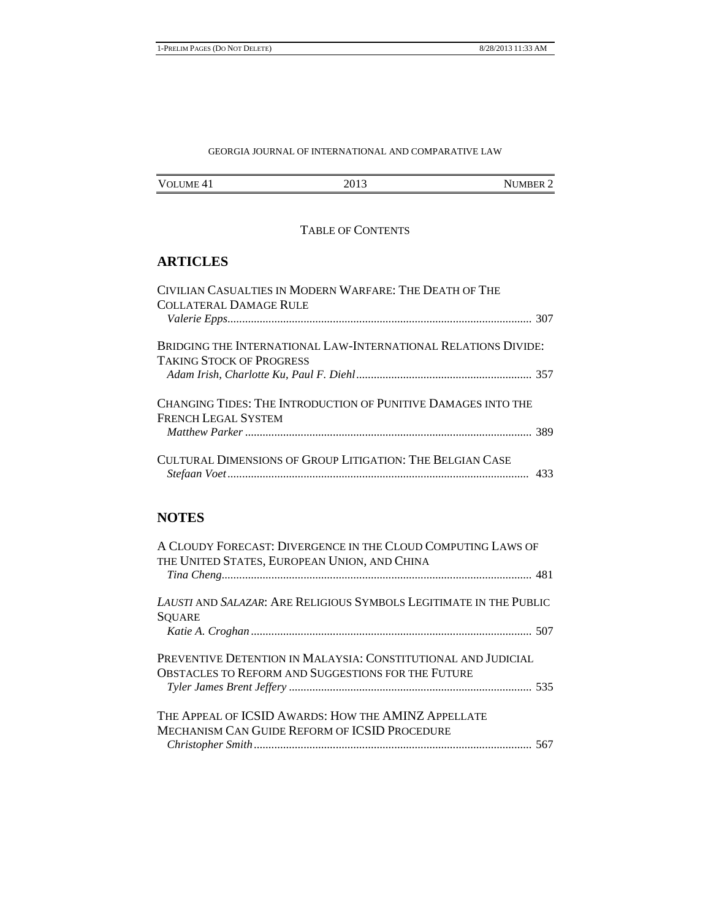## GEORGIA JOURNAL OF INTERNATIONAL AND COMPARATIVE LAW

| <b>VOLUME</b><br>$\Delta$<br>. . | $-201$<br>---<br>--- | <b>JMBER</b><br>'N L<br>. . |
|----------------------------------|----------------------|-----------------------------|

## TABLE OF CONTENTS

# **ARTICLES**

| CIVILIAN CASUALTIES IN MODERN WARFARE: THE DEATH OF THE        |  |
|----------------------------------------------------------------|--|
| COLLATERAL DAMAGE RULE                                         |  |
|                                                                |  |
| BRIDGING THE INTERNATIONAL LAW-INTERNATIONAL RELATIONS DIVIDE: |  |
| TAKING STOCK OF PROGRESS                                       |  |
|                                                                |  |
| CHANGING TIDES: THE INTRODUCTION OF PUNITIVE DAMAGES INTO THE  |  |
| <b>FRENCH LEGAL SYSTEM</b>                                     |  |
|                                                                |  |
| CULTURAL DIMENSIONS OF GROUP LITIGATION: THE BELGIAN CASE      |  |
|                                                                |  |
|                                                                |  |

# **NOTES**

| A CLOUDY FORECAST: DIVERGENCE IN THE CLOUD COMPUTING LAWS OF<br>THE UNITED STATES, EUROPEAN UNION, AND CHINA |
|--------------------------------------------------------------------------------------------------------------|
|                                                                                                              |
| LAUSTI AND SALAZAR: ARE RELIGIOUS SYMBOLS LEGITIMATE IN THE PUBLIC                                           |
| <b>SQUARE</b>                                                                                                |
|                                                                                                              |
| PREVENTIVE DETENTION IN MALAYSIA: CONSTITUTIONAL AND JUDICIAL                                                |
| <b>OBSTACLES TO REFORM AND SUGGESTIONS FOR THE FUTURE</b>                                                    |
|                                                                                                              |
| THE APPEAL OF ICSID AWARDS: HOW THE AMINZ APPELLATE                                                          |
| <b>MECHANISM CAN GUIDE REFORM OF ICSID PROCEDURE</b>                                                         |
|                                                                                                              |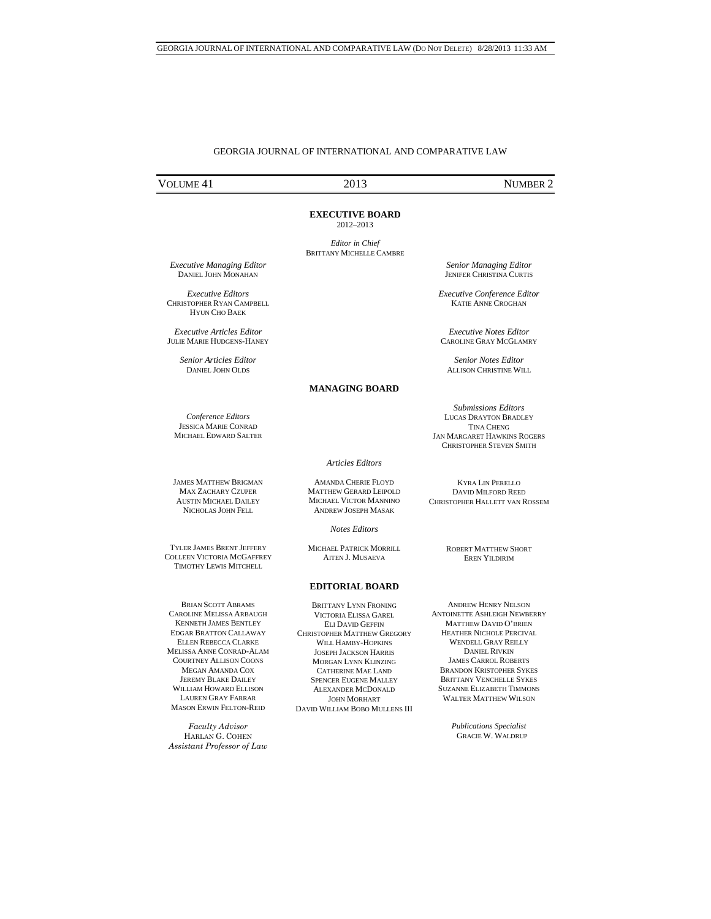### GEORGIA JOURNAL OF INTERNATIONAL AND COMPARATIVE LAW

# VOLUME 41 2013 NUMBER 2

**EXECUTIVE BOARD**  2012–2013

*Editor in Chief*  BRITTANY MICHELLE CAMBRE

 *Executive Managing Editor*  DANIEL JOHN MONAHAN

*Executive Editors*  CHRISTOPHER RYAN CAMPBELL HYUN CHO BAEK

*Executive Articles Editor*  JULIE MARIE HUDGENS-HANEY

> *Senior Articles Editor*  DANIEL JOHN OLDS

### **MANAGING BOARD**

*Conference Editors*  JESSICA MARIE CONRAD MICHAEL EDWARD SALTER

*Articles Editors*

AMANDA CHERIE FLOYD MATTHEW GERARD LEIPOLD MICHAEL VICTOR MANNINO ANDREW JOSEPH MASAK

*Notes Editors* 

MICHAEL PATRICK MORRILL AITEN J. MUSAEVA

#### **EDITORIAL BOARD**

BRITTANY LYNN FRONING VICTORIA ELISSA GAREL ELI DAVID GEFFIN CHRISTOPHER MATTHEW GREGORY WILL HAMBY-HOPKINS JOSEPH JACKSON HARRIS MORGAN LYNN KLINZING CATHERINE MAE LAND SPENCER EUGENE MALLEY ALEXANDER MCDONALD JOHN MORHART DAVID WILLIAM BOBO MULLENS III

ANDREW HENRY NELSON ANTOINETTE ASHLEIGH NEWBERRY MATTHEW DAVID O'BRIEN HEATHER NICHOLE PERCIVAL WENDELL GRAY REILLY DANIEL RIVKIN JAMES CARROL ROBERTS BRANDON KRISTOPHER SYKES BRITTANY VENCHELLE SYKES SUZANNE ELIZABETH TIMMONS WALTER MATTHEW WILSON

> *Publications Specialist* GRACIE W. WALDRUP

*Senior Managing Editor*  JENIFER CHRISTINA CURTIS

*Executive Conference Editor*  KATIE ANNE CROGHAN

*Executive Notes Editor*  CAROLINE GRAY MCGLAMRY

*Senior Notes Editor*  ALLISON CHRISTINE WILL

*Submissions Editors*  LUCAS DRAYTON BRADLEY TINA CHENG JAN MARGARET HAWKINS ROGERS CHRISTOPHER STEVEN SMITH

KYRA LIN PERELLO DAVID MILFORD REED CHRISTOPHER HALLETT VAN ROSSEM

> ROBERT MATTHEW SHORT EREN YILDIRIM

JAMES MATTHEW BRIGMAN MAX ZACHARY CZUPER AUSTIN MICHAEL DAILEY NICHOLAS JOHN FELL

TYLER JAMES BRENT JEFFERY COLLEEN VICTORIA MCGAFFREY TIMOTHY LEWIS MITCHELL

BRIAN SCOTT ABRAMS CAROLINE MELISSA ARBAUGH KENNETH **JAMES BENTLEY** EDGAR BRATTON CALLAWAY ELLEN REBECCA CLARKE MELISSA ANNE CONRAD-ALAM COURTNEY ALLISON COONS MEGAN AMANDA COX JEREMY BLAKE DAILEY WILLIAM HOWARD ELLISON LAUREN GRAY FARRAR MASON ERWIN FELTON-REID

*Faculty Advisor* HARLAN G. COHEN *Assistant Professor of Law*